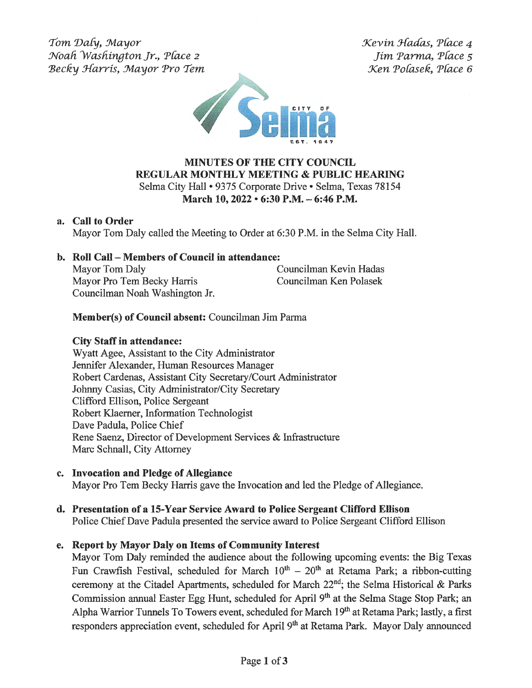Tom Daly, Mayor Noah Washington Jr., Place 2 Becky Harris, Mayor Pro Tem Kevin Hadas, Place 4 Jim Parma, Place 5 Xen 'Pofasek, 'Pface *6* 



## **MINUTES OF THE CITY COUNCIL REGULAR MONTHLY MEETING & PUBLIC HEARING**  Selma City Hall• 9375 Corporate Drive• Selma, Texas 78154 **March 10, 2022 • 6:30 P.M. - 6:46 P.M.**

### **a. Call to Order**

Mayor Tom Daly called the Meeting to Order at 6:30 P.M. in the Selma City Hall.

# **b. Roll Call - Members of Council in attendance:**

Mayor Tom Daly **Councilman Kevin Hadas** Mayor Pro Tern Becky Harris Councilman Ken Polasek Councilman Noah Washington Jr.

# **Member(s) of Council absent:** Councilman Jim Parma

## **City Staff in attendance:**

Wyatt Agee, Assistant to the City Administrator Jennifer Alexander, Human Resources Manager Robert Cardenas, Assistant City Secretary/Court Administrator Johnny Casias, City Administrator/City Secretary Clifford Ellison, Police Sergeant Robert Klaemer, Information Technologist Dave Padula, Police Chief Rene Saenz, Director of Development Services & Infrastructure Marc Schnall, City Attorney

**c. Invocation and Pledge of Allegiance** 

Mayor Pro Tern Becky Harris gave the Invocation and led the Pledge of Allegiance.

#### **d. Presentation of a 15-Y ear Service Award to Police Sergeant Clifford Ellison**  Police Chief Dave Padula presented the service award to Police Sergeant Clifford Ellison

## **e. Report by Mayor Daly on Items of Community Interest**

Mayor Tom Daly reminded the audience about the following upcoming events: the Big Texas Fun Crawfish Festival, scheduled for March  $10^{th} - 20^{th}$  at Retama Park; a ribbon-cutting ceremony at the Citadel Apartments, scheduled for March  $22<sup>nd</sup>$ ; the Selma Historical & Parks Commission annual Easter Egg Hunt, scheduled for April 9<sup>th</sup> at the Selma Stage Stop Park; an Alpha Warrior Tunnels To Towers event, scheduled for March 19<sup>th</sup> at Retama Park; lastly, a first responders appreciation event, scheduled for April 9<sup>th</sup> at Retama Park. Mayor Daly announced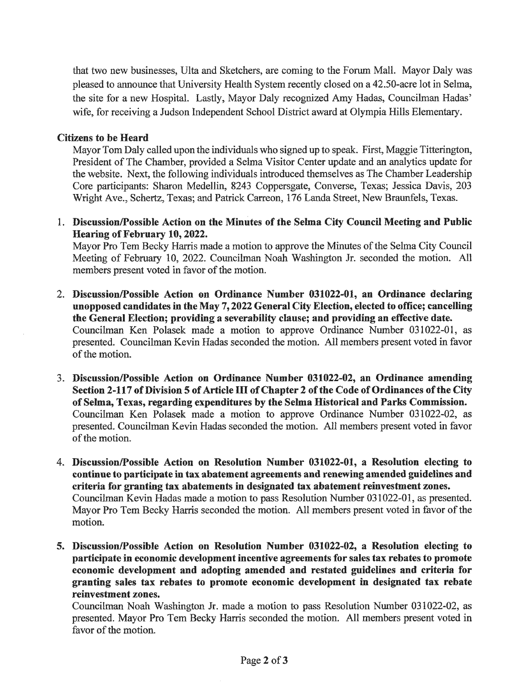that two new businesses, Ulta and Sketchers, are coming to the Forum Mall. Mayor Daly was pleased to announce that University Health System recently closed on a 42.50-acre lot in Selma, the site for a new Hospital. Lastly, Mayor Daly recognized Amy Hadas, Councilman Hadas' wife; for receiving a Judson Independent School District award at Olympia Hills Elementary.

#### **Citizens to be Heard**

Mayor Tom Daly called upon the individuals who signed up to speak. First, Maggie Titterington, President of The Chamber, provided a Selma Visitor Center update and an analytics update for the website. Next, the following individuals introduced themselves as The Chamber Leadership Core participants: Sharon Medellin, 8243 Coppersgate, Converse, Texas; Jessica Davis, 203 Wright Ave., Schertz, Texas; and Patrick Carreon, 176 Landa Street, New Braunfels, Texas.

1. **Discussion/Possible Action on the Minutes of the Selma City Council Meeting and Public Hearing of February 10, 2022.** 

Mayor Pro Tem Becky Harris made a motion to approve the Minutes of the Selma City Council Meeting of February 10, 2022. Councilman Noah Washington Jr. seconded the motion. All members present voted in favor of the motion.

- 2. **Discussion/Possible Action on Ordinance Number 031022-01, an Ordinance declaring unopposed candidates** in **the May 7, 2022 General City Election, elected to office; cancelling the General Election; providing a severability clause; and providing an effective date.**  Councilman Ken Polasek made a motion to approve Ordinance Number 031022-01, as presented. Councilman Kevin Hadas seconded the motion. All members present voted in favor of the motion.
- 3. **Discussion/Possible Action on Ordinance Number 031022-02, an Ordinance amending**  Section 2-117 of Division 5 of Article III of Chapter 2 of the Code of Ordinances of the City **of Selma, Texas, regarding expenditures by the Selma Historical and Parks Commission.**  Councilman Ken Polasek made a motion to approve Ordinance Number 031022-02, as presented. Councilman Kevin Hadas seconded the motion. All members present voted in favor of the motion.
- 4. **Discussion/Possible Action on Resolution Number 031022-01, a Resolution electing to continue to participate in tax abatement agreements and renewing amended guidelines and criteria for granting tax abatements in designated tax abatement reinvestment zones.**  Councilman Kevin Hadas made a motion to pass Resolution Number 031022-01, as presented. Mayor Pro Tern Becky Harris seconded the motion. All members present voted in favor of the motion.
- **5. Discussion/Possible Action on Resolution Number 031022~02, a Resolution electing to participate in economic development incentive agreements for sales tax rebates to promote economic development and adopting amended and restated guidelines and criteria for granting sales tax rebates to promote economic development** in **designated tax rebate reinvestment zones.**

Councilman Noah Washington Jr. made a motion to pass Resolution Number 031022~02, as presented. Mayor Pro Tern Becky Harris seconded the motion. All members present voted in favor of the motion.